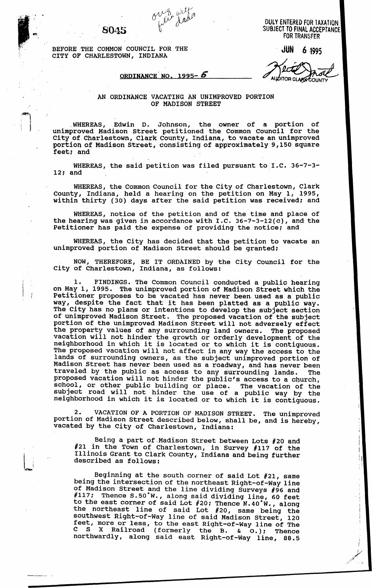*1* 

**JUN** *6* **,1995** BEFORE THE COMMON COUNCIL FOR THE CITY OF CHARLESTOWN, INDIANA

**DULY ENTERED FOR taxation SUBJECT TO FINAL. acceptance 8045 FOR TRANSFER** 

I

 $\left\vert \cdot \right\rangle$ 

*i* 

**ORDINANCE NO. 1995- 6 AUDITOR CLARECOUNT** 

## AN ORDINANCE VACATING AN UNIMPROVED PORTION OF MADISON STREET

WHEREAS, Edwin D. Johnson, the owner of a portion of unimproved Madison Street petitioned the Common Council for the City of Charlestown, Clark County, Indiana, to vacate an unimproved portion of Madison Street, consisting of approximately **9,150** square feet; and

WHEREAS, the said petition was filed pursuant to I.C. **36-7-3- 12;** and

WHEREAS, the Common Council for the City of Charlestown, Clark County, Indiana, held a hearing on the petition on May **1, 1995,**  within thirty **(30)** days after the said petition was received; and

WHEREAS, notice of the petition and of the time and place of the hearing was given in accordance with I.C. 36-7-3-12(c), and the Petitioner has paid the expense of providing the notice; and

WHEREAS, the City has decided that the petition to vacate an unimproved portion of Madison Street should be granted;

NOW, THEREFORE, BE IT ORDAINED by the City Council for the City of Charlestown, Indiana, as follows:

**1.** FINDINGS. The Common Council conducted a public hearing on May 1, **1995.** The unimproved portion of Madison Street which the Petitioner proposes to be vacated has never been used as a public way, despite the fact that it has been platted as a public way. The City has no plans or intentions to develop the subject section of unimproved Madison Street. The proposed vacation of the subject portion of the unimproved Madison Street will not adversely effect the property values of any surrounding land owners. The proposed vacation will not hinder the growth or orderly development of the neighborhood in which it is located or to which it is contiguous. The proposed vacation will not affect in any way the access to the lands of surrounding owners, as the subject unimproved portion of Madison Street has never been used as a roadway, and has never been traveled by the public as access to any surrounding lands. The proposed vacation will not hinder the public's access to a church, school, or other public building or place. The vacation of the subject road will not hinder the use of a public way by the neighborhood in which it is located or to which it is contiguous.

2. VACATION OF A PORTION OF MADISON STREET. The unimproved portion of Madison Street described below, shall be, and is hereby, vacated by the City of Charlestown, Indiana: VACATION OF A PORTION OF MADISON STREET. The unimproved

Being **a** part of Madison Street between Lots *#20* and #21 in the Town of Charlestown, in Survey **#117** of the Illinois Grant to Clark County, Indiana and being further described as follows:

Beginning at the south corner of said Lot **#21,** same being the intersection of the northeast Right-of-way line of Madison Street and the line dividing Surveys **#96** and #117; Thence S.50°W., along said dividing line, 60 feet to the east corner of said Lot **#20;** Thence **N.40°W.,** along feet, more or less, to the east Right-of-way line of The C S X Railroad (formerly the B. **C** *0.);* Thence northwardly, along said east Right-of-way line, *88.5*  the northeast line of said Lot **#20,** same being the southwest Right-of-way line of said Madison Street, 120